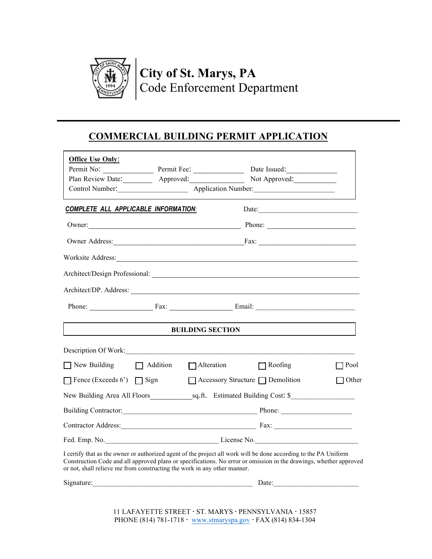

# **City of St. Marys, PA** Code Enforcement Department

## **COMMERCIAL BUILDING PERMIT APPLICATION**

| <b>Office Use Only:</b>                                                                                                                                                                                                                                                                                            |                                    |                |               |
|--------------------------------------------------------------------------------------------------------------------------------------------------------------------------------------------------------------------------------------------------------------------------------------------------------------------|------------------------------------|----------------|---------------|
| Permit No: Permit Fee:                                                                                                                                                                                                                                                                                             |                                    | Date Issued:   |               |
| Plan Review Date: Approved:                                                                                                                                                                                                                                                                                        |                                    | Not Approved:  |               |
|                                                                                                                                                                                                                                                                                                                    |                                    |                |               |
| <b>COMPLETE ALL APPLICABLE INFORMATION:</b>                                                                                                                                                                                                                                                                        |                                    | Date:          |               |
| Owner:                                                                                                                                                                                                                                                                                                             |                                    | Phone:         |               |
| Owner Address: Fax: Fax:                                                                                                                                                                                                                                                                                           |                                    |                |               |
|                                                                                                                                                                                                                                                                                                                    |                                    |                |               |
|                                                                                                                                                                                                                                                                                                                    |                                    |                |               |
|                                                                                                                                                                                                                                                                                                                    |                                    |                |               |
| Phone: Fax: Fax: Email:                                                                                                                                                                                                                                                                                            |                                    |                |               |
|                                                                                                                                                                                                                                                                                                                    | <b>BUILDING SECTION</b>            |                |               |
| Description Of Work:                                                                                                                                                                                                                                                                                               |                                    |                |               |
| $\Box$ New Building                                                                                                                                                                                                                                                                                                | Addition Alteration                | $\Box$ Roofing | <b>1</b> Pool |
| Fence (Exceeds 6') $\Box$ Sign                                                                                                                                                                                                                                                                                     | □ Accessory Structure □ Demolition |                | Other         |
| New Building Area All Floors sq.ft. Estimated Building Cost: \$                                                                                                                                                                                                                                                    |                                    |                |               |
| Building Contractor: Phone: Phone: Phone:                                                                                                                                                                                                                                                                          |                                    |                |               |
| Contractor Address: Fax: Fax:                                                                                                                                                                                                                                                                                      |                                    |                |               |
|                                                                                                                                                                                                                                                                                                                    |                                    |                |               |
| I certify that as the owner or authorized agent of the project all work will be done according to the PA Uniform<br>Construction Code and all approved plans or specifications. No error or omission in the drawings, whether approved<br>or not, shall relieve me from constructing the work in any other manner. |                                    |                |               |
|                                                                                                                                                                                                                                                                                                                    |                                    | Date:          |               |

11 LAFAYETTE STREET · ST. MARYS · PENNSYLVANIA · 15857 PHONE (814) 781-1718 · [www.stmaryspa.gov](http://www.stmaryspa.gov/) · FAX (814) 834-1304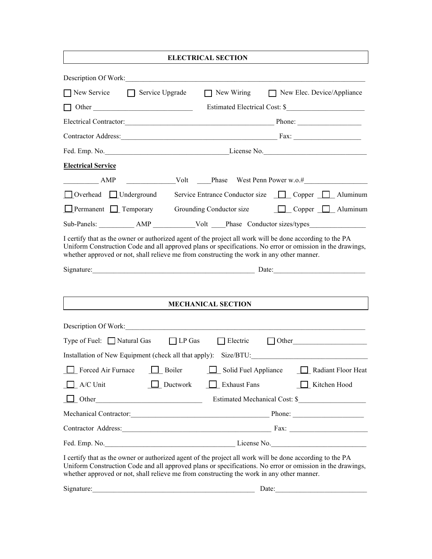|                                                            | <b>ELECTRICAL SECTION</b>                                                                                                                                                                                                                                                                                                                          |
|------------------------------------------------------------|----------------------------------------------------------------------------------------------------------------------------------------------------------------------------------------------------------------------------------------------------------------------------------------------------------------------------------------------------|
|                                                            |                                                                                                                                                                                                                                                                                                                                                    |
| $\bigcap$ New Service $\bigcap$ Service Upgrade            | New Wiring New Elec. Device/Appliance                                                                                                                                                                                                                                                                                                              |
|                                                            | Estimated Electrical Cost: \$                                                                                                                                                                                                                                                                                                                      |
|                                                            | Electrical Contractor: Phone: Phone: Phone:                                                                                                                                                                                                                                                                                                        |
|                                                            | Contractor Address: Fax: Fax:                                                                                                                                                                                                                                                                                                                      |
|                                                            |                                                                                                                                                                                                                                                                                                                                                    |
| <b>Electrical Service</b>                                  |                                                                                                                                                                                                                                                                                                                                                    |
| $\frac{1}{2}$ AMP                                          |                                                                                                                                                                                                                                                                                                                                                    |
|                                                            | □ Overhead □ Underground Service Entrance Conductor size □ Copper □ Aluminum                                                                                                                                                                                                                                                                       |
| $\Box$ Permanent $\Box$ Temporary Grounding Conductor size | $\Box$ Copper $\Box$ Aluminum                                                                                                                                                                                                                                                                                                                      |
|                                                            | Sub-Panels: AMP Volt Phase Conductor sizes/types                                                                                                                                                                                                                                                                                                   |
|                                                            | I certify that as the owner or authorized agent of the project all work will be done according to the PA<br>Uniform Construction Code and all approved plans or specifications. No error or omission in the drawings,<br>whether approved or not, shall relieve me from constructing the work in any other manner.<br>Signature: Date: Date: Date: |
|                                                            | <b>MECHANICAL SECTION</b>                                                                                                                                                                                                                                                                                                                          |
| Description Of Work:                                       |                                                                                                                                                                                                                                                                                                                                                    |
| Type of Fuel: $\Box$ Natural Gas $\Box$ LP Gas             | $\Box$ Electric<br>$\Box$ Other                                                                                                                                                                                                                                                                                                                    |
| Installation of New Equipment (check all that apply):      | Size/BTU:                                                                                                                                                                                                                                                                                                                                          |
| Forced Air Furnace<br>Boiler                               | Solid Fuel Appliance<br>Radiant Floor Heat                                                                                                                                                                                                                                                                                                         |
| A/C Unit<br>$\Box$ Ductwork                                | Exhaust Fans<br>Kitchen Hood                                                                                                                                                                                                                                                                                                                       |
|                                                            | Other Other Constitution Estimated Mechanical Cost: \$                                                                                                                                                                                                                                                                                             |
|                                                            | Mechanical Contractor: Phone: Phone: Phone:                                                                                                                                                                                                                                                                                                        |
|                                                            |                                                                                                                                                                                                                                                                                                                                                    |
|                                                            |                                                                                                                                                                                                                                                                                                                                                    |
|                                                            | I certify that as the owner or authorized agent of the project all work will be done according to the PA<br>Uniform Construction Code and all approved plans or specifications. No error or omission in the drawings,<br>whether approved or not, shall relieve me from constructing the work in any other manner.                                 |
| Signature:                                                 | Date:                                                                                                                                                                                                                                                                                                                                              |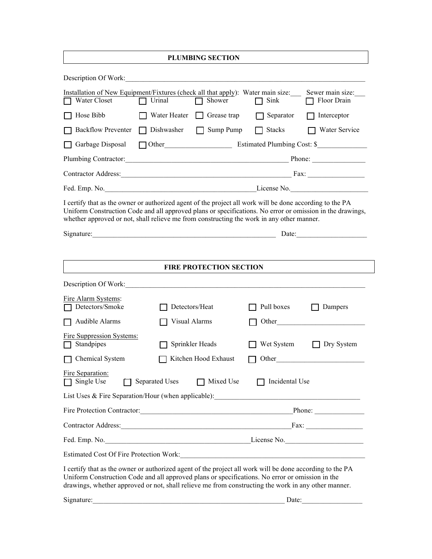| <b>PLUMBING SECTION</b>                                                                                                                                                                                                                                                                                            |                       |                                |                       |                                   |  |
|--------------------------------------------------------------------------------------------------------------------------------------------------------------------------------------------------------------------------------------------------------------------------------------------------------------------|-----------------------|--------------------------------|-----------------------|-----------------------------------|--|
| Description Of Work:                                                                                                                                                                                                                                                                                               |                       |                                |                       |                                   |  |
| Installation of New Equipment/Fixtures (check all that apply): Water main size:<br>Water Closet                                                                                                                                                                                                                    | Urinal                | Shower                         | Sink                  | Sewer main size:<br>Floor Drain   |  |
| Hose Bibb                                                                                                                                                                                                                                                                                                          | Water Heater          | Grease trap                    | Separator             | Interceptor                       |  |
| <b>Backflow Preventer</b>                                                                                                                                                                                                                                                                                          | Dishwasher            | Sump Pump                      | <b>Stacks</b>         | Water Service                     |  |
| Garbage Disposal                                                                                                                                                                                                                                                                                                   |                       |                                |                       | Other Estimated Plumbing Cost: \$ |  |
| Plumbing Contractor: Plumbing Contractor:                                                                                                                                                                                                                                                                          |                       |                                |                       |                                   |  |
| Contractor Address: Fax: Fax:                                                                                                                                                                                                                                                                                      |                       |                                |                       |                                   |  |
|                                                                                                                                                                                                                                                                                                                    |                       |                                |                       |                                   |  |
| I certify that as the owner or authorized agent of the project all work will be done according to the PA<br>Uniform Construction Code and all approved plans or specifications. No error or omission in the drawings,<br>whether approved or not, shall relieve me from constructing the work in any other manner. |                       |                                |                       |                                   |  |
|                                                                                                                                                                                                                                                                                                                    |                       |                                |                       | Date:                             |  |
|                                                                                                                                                                                                                                                                                                                    |                       |                                |                       |                                   |  |
|                                                                                                                                                                                                                                                                                                                    |                       | <b>FIRE PROTECTION SECTION</b> |                       |                                   |  |
| Description Of Work:                                                                                                                                                                                                                                                                                               |                       |                                |                       |                                   |  |
| Fire Alarm Systems:<br>Detectors/Smoke                                                                                                                                                                                                                                                                             |                       | Detectors/Heat                 | Pull boxes            | Dampers                           |  |
| Audible Alarms                                                                                                                                                                                                                                                                                                     | Visual Alarms         |                                | Other                 |                                   |  |
| Fire Suppression Systems:<br>Standpipes                                                                                                                                                                                                                                                                            |                       | Sprinkler Heads                | Wet System            | Dry System                        |  |
| Chemical System                                                                                                                                                                                                                                                                                                    |                       | Kitchen Hood Exhaust           | Other                 |                                   |  |
| Fire Separation:<br>Single Use                                                                                                                                                                                                                                                                                     | <b>Separated Uses</b> | Mixed Use                      | $\Box$ Incidental Use |                                   |  |
| List Uses $\&$ Fire Separation/Hour (when applicable):                                                                                                                                                                                                                                                             |                       |                                |                       |                                   |  |
| Fire Protection Contractor: Phone: Phone: Phone:                                                                                                                                                                                                                                                                   |                       |                                |                       |                                   |  |
|                                                                                                                                                                                                                                                                                                                    |                       |                                |                       |                                   |  |
| Fed. Emp. No.                                                                                                                                                                                                                                                                                                      |                       |                                |                       | License No.                       |  |
| <b>Estimated Cost Of Fire Protection Work:</b>                                                                                                                                                                                                                                                                     |                       |                                |                       |                                   |  |
| I certify that as the owner or authorized agent of the project all work will be done according to the PA<br>Uniform Construction Code and all approved plans or specifications. No error or omission in the<br>drawings, whether approved or not, shall relieve me from constructing the work in any other manner. |                       |                                |                       |                                   |  |
| Signature:                                                                                                                                                                                                                                                                                                         |                       |                                | Date:                 |                                   |  |